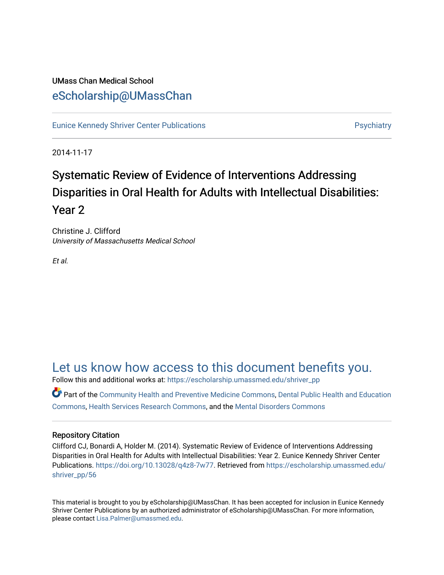### UMass Chan Medical School [eScholarship@UMassChan](https://escholarship.umassmed.edu/)

[Eunice Kennedy Shriver Center Publications](https://escholarship.umassmed.edu/shriver_pp) **Provides and Contact Automobile Providence** Psychiatry

2014-11-17

## Systematic Review of Evidence of Interventions Addressing Disparities in Oral Health for Adults with Intellectual Disabilities: Year 2

Christine J. Clifford University of Massachusetts Medical School

Et al.

### [Let us know how access to this document benefits you.](https://arcsapps.umassmed.edu/redcap/surveys/?s=XWRHNF9EJE)

Follow this and additional works at: [https://escholarship.umassmed.edu/shriver\\_pp](https://escholarship.umassmed.edu/shriver_pp?utm_source=escholarship.umassmed.edu%2Fshriver_pp%2F56&utm_medium=PDF&utm_campaign=PDFCoverPages)

Part of the [Community Health and Preventive Medicine Commons](http://network.bepress.com/hgg/discipline/744?utm_source=escholarship.umassmed.edu%2Fshriver_pp%2F56&utm_medium=PDF&utm_campaign=PDFCoverPages), [Dental Public Health and Education](http://network.bepress.com/hgg/discipline/653?utm_source=escholarship.umassmed.edu%2Fshriver_pp%2F56&utm_medium=PDF&utm_campaign=PDFCoverPages)  [Commons](http://network.bepress.com/hgg/discipline/653?utm_source=escholarship.umassmed.edu%2Fshriver_pp%2F56&utm_medium=PDF&utm_campaign=PDFCoverPages), [Health Services Research Commons](http://network.bepress.com/hgg/discipline/816?utm_source=escholarship.umassmed.edu%2Fshriver_pp%2F56&utm_medium=PDF&utm_campaign=PDFCoverPages), and the [Mental Disorders Commons](http://network.bepress.com/hgg/discipline/968?utm_source=escholarship.umassmed.edu%2Fshriver_pp%2F56&utm_medium=PDF&utm_campaign=PDFCoverPages) 

### Repository Citation

Clifford CJ, Bonardi A, Holder M. (2014). Systematic Review of Evidence of Interventions Addressing Disparities in Oral Health for Adults with Intellectual Disabilities: Year 2. Eunice Kennedy Shriver Center Publications. [https://doi.org/10.13028/q4z8-7w77.](https://doi.org/10.13028/q4z8-7w77) Retrieved from [https://escholarship.umassmed.edu/](https://escholarship.umassmed.edu/shriver_pp/56?utm_source=escholarship.umassmed.edu%2Fshriver_pp%2F56&utm_medium=PDF&utm_campaign=PDFCoverPages) [shriver\\_pp/56](https://escholarship.umassmed.edu/shriver_pp/56?utm_source=escholarship.umassmed.edu%2Fshriver_pp%2F56&utm_medium=PDF&utm_campaign=PDFCoverPages) 

This material is brought to you by eScholarship@UMassChan. It has been accepted for inclusion in Eunice Kennedy Shriver Center Publications by an authorized administrator of eScholarship@UMassChan. For more information, please contact [Lisa.Palmer@umassmed.edu](mailto:Lisa.Palmer@umassmed.edu).